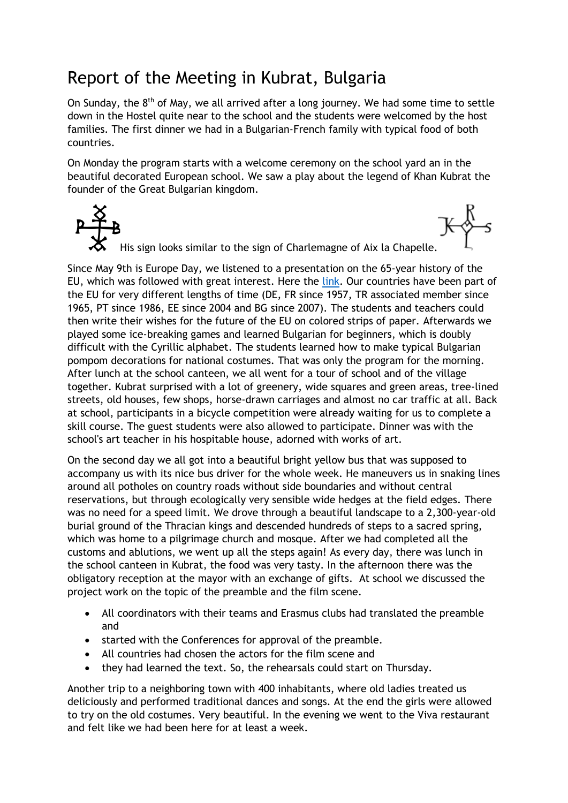## Report of the Meeting in Kubrat, Bulgaria

On Sunday, the  $8<sup>th</sup>$  of May, we all arrived after a long journey. We had some time to settle down in the Hostel quite near to the school and the students were welcomed by the host families. The first dinner we had in a Bulgarian-French family with typical food of both countries.

On Monday the program starts with a welcome ceremony on the school yard an in the beautiful decorated European school. We saw a play about the legend of Khan Kubrat the founder of the Great Bulgarian kingdom.

 $K_{\Lambda}^{\text{max}}$ His sign looks similar to the sign of Charlemagne of Aix la Chapelle.

Since May 9th is Europe Day, we listened to a presentation on the 65-year history of the EU, which was followed with great interest. Here the [link.](https://gesamtschule-volksgarten.de/eva/europHistory.pptx) Our countries have been part of the EU for very different lengths of time (DE, FR since 1957, TR associated member since 1965, PT since 1986, EE since 2004 and BG since 2007). The students and teachers could then write their wishes for the future of the EU on colored strips of paper. Afterwards we played some ice-breaking games and learned Bulgarian for beginners, which is doubly difficult with the Cyrillic alphabet. The students learned how to make typical Bulgarian pompom decorations for national costumes. That was only the program for the morning. After lunch at the school canteen, we all went for a tour of school and of the village together. Kubrat surprised with a lot of greenery, wide squares and green areas, tree-lined streets, old houses, few shops, horse-drawn carriages and almost no car traffic at all. Back at school, participants in a bicycle competition were already waiting for us to complete a skill course. The guest students were also allowed to participate. Dinner was with the school's art teacher in his hospitable house, adorned with works of art.

On the second day we all got into a beautiful bright yellow bus that was supposed to accompany us with its nice bus driver for the whole week. He maneuvers us in snaking lines around all potholes on country roads without side boundaries and without central reservations, but through ecologically very sensible wide hedges at the field edges. There was no need for a speed limit. We drove through a beautiful landscape to a 2,300-year-old burial ground of the Thracian kings and descended hundreds of steps to a sacred spring, which was home to a pilgrimage church and mosque. After we had completed all the customs and ablutions, we went up all the steps again! As every day, there was lunch in the school canteen in Kubrat, the food was very tasty. In the afternoon there was the obligatory reception at the mayor with an exchange of gifts. At school we discussed the project work on the topic of the preamble and the film scene.

- All coordinators with their teams and Erasmus clubs had translated the preamble and
- started with the Conferences for approval of the preamble.
- All countries had chosen the actors for the film scene and
- they had learned the text. So, the rehearsals could start on Thursday.

Another trip to a neighboring town with 400 inhabitants, where old ladies treated us deliciously and performed traditional dances and songs. At the end the girls were allowed to try on the old costumes. Very beautiful. In the evening we went to the Viva restaurant and felt like we had been here for at least a week.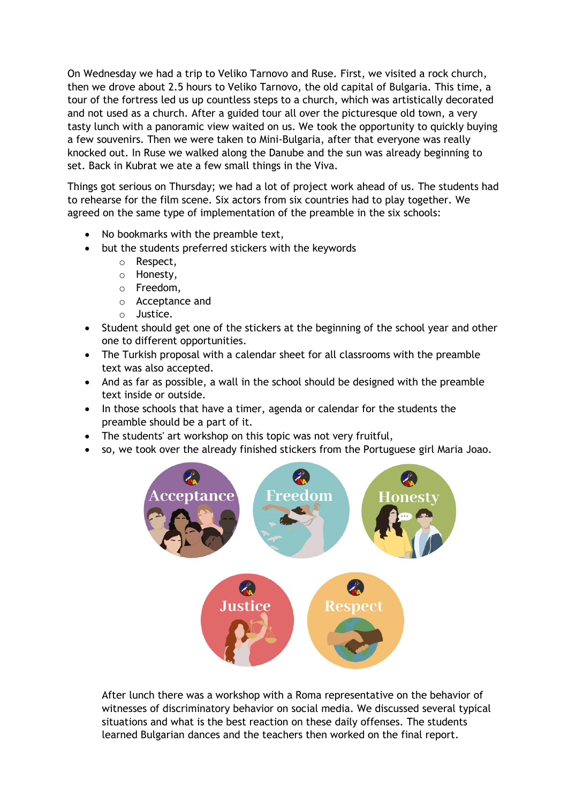On Wednesday we had a trip to Veliko Tarnovo and Ruse. First, we visited a rock church, then we drove about 2.5 hours to Veliko Tarnovo, the old capital of Bulgaria. This time, a tour of the fortress led us up countless steps to a church, which was artistically decorated and not used as a church. After a guided tour all over the picturesque old town, a very tasty lunch with a panoramic view waited on us. We took the opportunity to quickly buying a few souvenirs. Then we were taken to Mini-Bulgaria, after that everyone was really knocked out. In Ruse we walked along the Danube and the sun was already beginning to set. Back in Kubrat we ate a few small things in the Viva.

Things got serious on Thursday; we had a lot of project work ahead of us. The students had to rehearse for the film scene. Six actors from six countries had to play together. We agreed on the same type of implementation of the preamble in the six schools:

- No bookmarks with the preamble text,
- but the students preferred stickers with the keywords
	- o Respect,
	- o Honesty,
	- o Freedom,
	- o Acceptance and
	- o Justice.
- Student should get one of the stickers at the beginning of the school year and other one to different opportunities.
- The Turkish proposal with a calendar sheet for all classrooms with the preamble text was also accepted.
- And as far as possible, a wall in the school should be designed with the preamble text inside or outside.
- In those schools that have a timer, agenda or calendar for the students the preamble should be a part of it.
- The students' art workshop on this topic was not very fruitful,
- so, we took over the already finished stickers from the Portuguese girl Maria Joao.



After lunch there was a workshop with a Roma representative on the behavior of witnesses of discriminatory behavior on social media. We discussed several typical situations and what is the best reaction on these daily offenses. The students learned Bulgarian dances and the teachers then worked on the final report.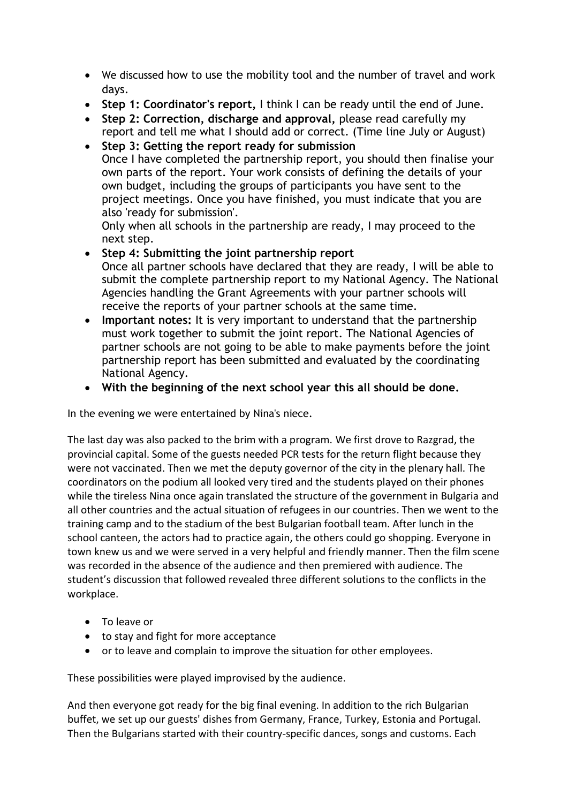- We discussed how to use the mobility tool and the number of travel and work days.
- **Step 1: Coordinator's report,** I think I can be ready until the end of June.
- **Step 2: Correction, discharge and approval,** please read carefully my report and tell me what I should add or correct. (Time line July or August)
- **Step 3: Getting the report ready for submission** Once I have completed the partnership report, you should then finalise your own parts of the report. Your work consists of defining the details of your own budget, including the groups of participants you have sent to the project meetings. Once you have finished, you must indicate that you are also 'ready for submission'.

Only when all schools in the partnership are ready, I may proceed to the next step.

- **Step 4: Submitting the joint partnership report** Once all partner schools have declared that they are ready, I will be able to submit the complete partnership report to my National Agency. The National Agencies handling the Grant Agreements with your partner schools will receive the reports of your partner schools at the same time.
- **Important notes:** It is very important to understand that the partnership must work together to submit the joint report. The National Agencies of partner schools are not going to be able to make payments before the joint partnership report has been submitted and evaluated by the coordinating National Agency.
- **With the beginning of the next school year this all should be done.**

In the evening we were entertained by Nina's niece.

The last day was also packed to the brim with a program. We first drove to Razgrad, the provincial capital. Some of the guests needed PCR tests for the return flight because they were not vaccinated. Then we met the deputy governor of the city in the plenary hall. The coordinators on the podium all looked very tired and the students played on their phones while the tireless Nina once again translated the structure of the government in Bulgaria and all other countries and the actual situation of refugees in our countries. Then we went to the training camp and to the stadium of the best Bulgarian football team. After lunch in the school canteen, the actors had to practice again, the others could go shopping. Everyone in town knew us and we were served in a very helpful and friendly manner. Then the film scene was recorded in the absence of the audience and then premiered with audience. The student's discussion that followed revealed three different solutions to the conflicts in the workplace.

- To leave or
- to stay and fight for more acceptance
- or to leave and complain to improve the situation for other employees.

These possibilities were played improvised by the audience.

And then everyone got ready for the big final evening. In addition to the rich Bulgarian buffet, we set up our guests' dishes from Germany, France, Turkey, Estonia and Portugal. Then the Bulgarians started with their country-specific dances, songs and customs. Each